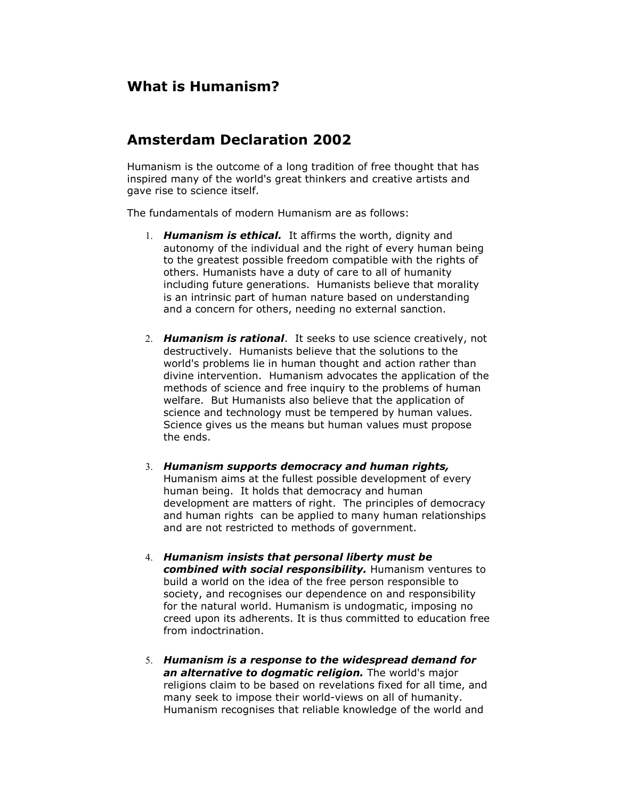## **What is Humanism?**

## **Amsterdam Declaration 2002**

Humanism is the outcome of a long tradition of free thought that has inspired many of the world's great thinkers and creative artists and gave rise to science itself.

The fundamentals of modern Humanism are as follows:

- 1. *Humanism is ethical.* It affirms the worth, dignity and autonomy of the individual and the right of every human being to the greatest possible freedom compatible with the rights of others. Humanists have a duty of care to all of humanity including future generations. Humanists believe that morality is an intrinsic part of human nature based on understanding and a concern for others, needing no external sanction.
- 2. *Humanism is rational*. It seeks to use science creatively, not destructively. Humanists believe that the solutions to the world's problems lie in human thought and action rather than divine intervention. Humanism advocates the application of the methods of science and free inquiry to the problems of human welfare. But Humanists also believe that the application of science and technology must be tempered by human values. Science gives us the means but human values must propose the ends.
- 3. *Humanism supports democracy and human rights,* Humanism aims at the fullest possible development of every human being. It holds that democracy and human development are matters of right. The principles of democracy and human rights can be applied to many human relationships and are not restricted to methods of government.
- 4. *Humanism insists that personal liberty must be combined with social responsibility.* Humanism ventures to build a world on the idea of the free person responsible to society, and recognises our dependence on and responsibility for the natural world. Humanism is undogmatic, imposing no creed upon its adherents. It is thus committed to education free from indoctrination.
- 5. *Humanism is a response to the widespread demand for an alternative to dogmatic religion.* The world's major religions claim to be based on revelations fixed for all time, and many seek to impose their world-views on all of humanity. Humanism recognises that reliable knowledge of the world and